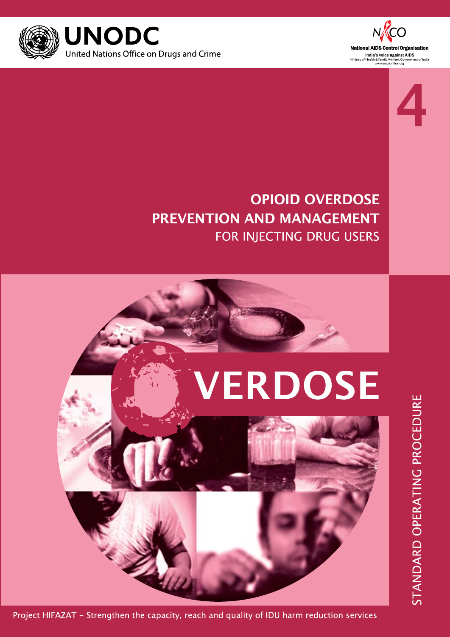



# **OPIOID OVERDOSE PREVENTION AND MANAGEMENT** FOR INJECTING DRUG USERS

# **VERDOSE**



Project HIFAZAT - Strengthen the capacity, reach and quality of IDU harm reduction services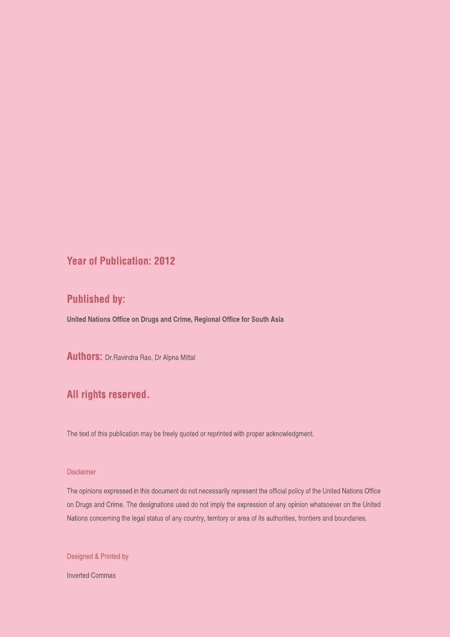#### **Year of Publication: 2012**

### **Published by:**

United Nations Office on Drugs and Crime, Regional Office for South Asia

**Authors:** Dr. Ravindra Rao, Dr Alpna Mittal

### All rights reserved.

The text of this publication may be freely quoted or reprinted with proper acknowledgment.

#### **Disclaimer**

The opinions expressed in this document do not necessarily represent the official policy of the United Nations Office on Drugs and Crime. The designations used do not imply the expression of any opinion whatsoever on the United Nations concerning the legal status of any country, territory or area of its authorities, frontiers and boundaries.

Designed & Printed by

**Inverted Commas**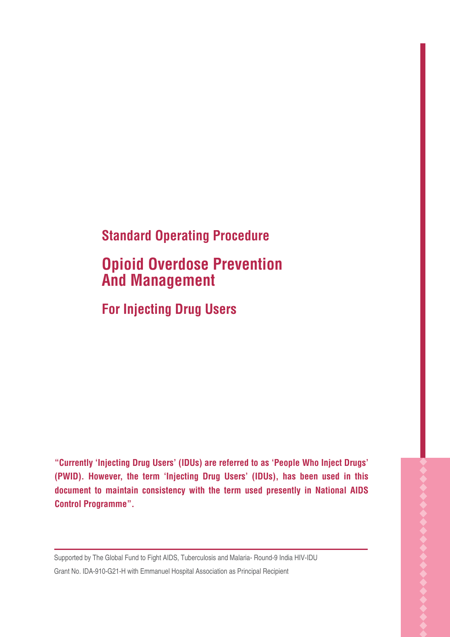# **Standard Operating Procedure**

# **Opioid Overdose Prevention And Management**

## **For Injecting Drug Users**

**"Currently 'Injecting Drug Users' (IDUs) are referred to as 'People Who Inject Drugs' (PWID). However, the term 'Injecting Drug Users' (IDUs), has been used in this document to maintain consistency with the term used presently in National AIDS Control Programme".**

Supported by The Global Fund to Fight AIDS, Tuberculosis and Malaria- Round-9 India HIV-IDU Grant No. IDA-910-G21-H with Emmanuel Hospital Association as Principal Recipient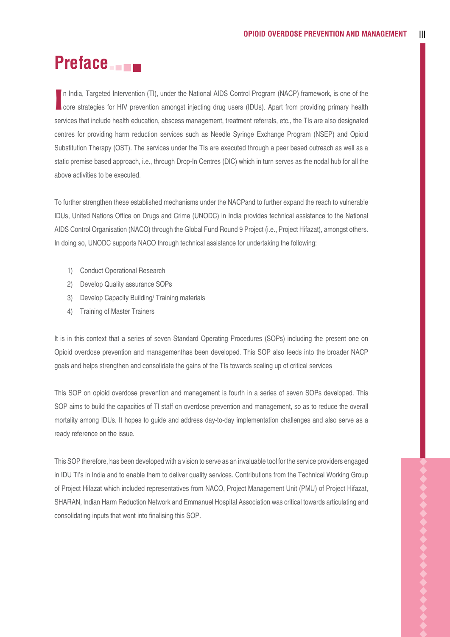# **Preface**

In India, Targeted Intervention (TI), under the National AIDS Control Program (NACP) framework, is one of the<br>
I core strategies for HIV prevention amongst injecting drug users (IDUs). Apart from providing primary health n India, Targeted Intervention (TI), under the National AIDS Control Program (NACP) framework, is one of the services that include health education, abscess management, treatment referrals, etc., the TIs are also designated centres for providing harm reduction services such as Needle Syringe Exchange Program (NSEP) and Opioid Substitution Therapy (OST). The services under the TIs are executed through a peer based outreach as well as a static premise based approach, i.e., through Drop-In Centres (DIC) which in turn serves as the nodal hub for all the above activities to be executed.

To further strengthen these established mechanisms under the NACPand to further expand the reach to vulnerable IDUs, United Nations Office on Drugs and Crime (UNODC) in India provides technical assistance to the National AIDS Control Organisation (NACO) through the Global Fund Round 9 Project (i.e., Project Hifazat), amongst others. In doing so, UNODC supports NACO through technical assistance for undertaking the following:

- 1) Conduct Operational Research
- 2) Develop Quality assurance SOPs
- 3) Develop Capacity Building/ Training materials
- 4) Training of Master Trainers

It is in this context that a series of seven Standard Operating Procedures (SOPs) including the present one on Opioid overdose prevention and managementhas been developed. This SOP also feeds into the broader NACP goals and helps strengthen and consolidate the gains of the TIs towards scaling up of critical services

This SOP on opioid overdose prevention and management is fourth in a series of seven SOPs developed. This SOP aims to build the capacities of TI staff on overdose prevention and management, so as to reduce the overall mortality among IDUs. It hopes to guide and address day-to-day implementation challenges and also serve as a ready reference on the issue.

This SOP therefore, has been developed with a vision to serve as an invaluable tool for the service providers engaged in IDU TI's in India and to enable them to deliver quality services. Contributions from the Technical Working Group of Project Hifazat which included representatives from NACO, Project Management Unit (PMU) of Project Hifazat, SHARAN, Indian Harm Reduction Network and Emmanuel Hospital Association was critical towards articulating and consolidating inputs that went into finalising this SOP.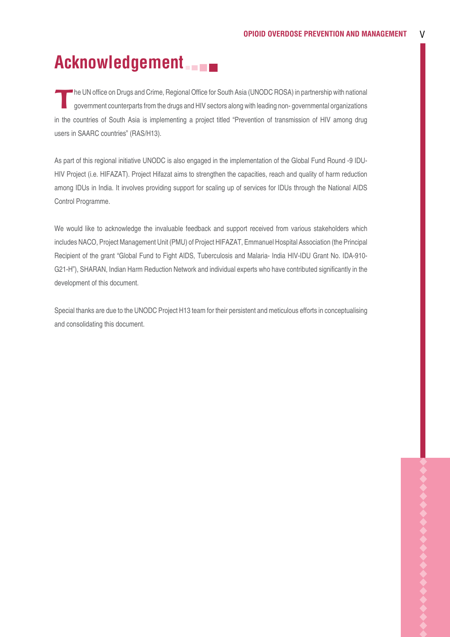# **Acknowledgement**

The UN office on Drugs and Crime, Regional Office for South Asia (UNODC ROSA) in partnership with national government counterparts from the drugs and HIV sectors along with leading non- governmental organizations in the countries of South Asia is implementing a project titled "Prevention of transmission of HIV among drug users in SAARC countries" (RAS/H13).

As part of this regional initiative UNODC is also engaged in the implementation of the Global Fund Round -9 IDU-HIV Project (i.e. HIFAZAT). Project Hifazat aims to strengthen the capacities, reach and quality of harm reduction among IDUs in India. It involves providing support for scaling up of services for IDUs through the National AIDS Control Programme.

We would like to acknowledge the invaluable feedback and support received from various stakeholders which includes NACO, Project Management Unit (PMU) of Project HIFAZAT, Emmanuel Hospital Association (the Principal Recipient of the grant "Global Fund to Fight AIDS, Tuberculosis and Malaria- India HIV-IDU Grant No. IDA-910- G21-H"), SHARAN, Indian Harm Reduction Network and individual experts who have contributed significantly in the development of this document.

Special thanks are due to the UNODC Project H13 team for their persistent and meticulous efforts in conceptualising and consolidating this document.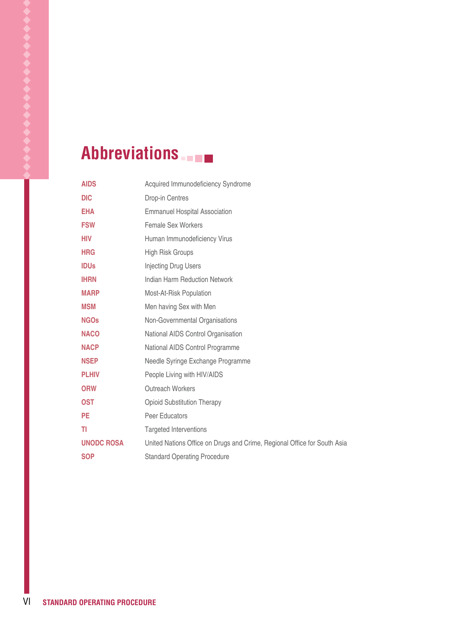# **Abbreviations**

| <b>AIDS</b>       | Acquired Immunodeficiency Syndrome                                       |
|-------------------|--------------------------------------------------------------------------|
| <b>DIC</b>        | Drop-in Centres                                                          |
| <b>EHA</b>        | <b>Emmanuel Hospital Association</b>                                     |
| <b>FSW</b>        | Female Sex Workers                                                       |
| <b>HIV</b>        | Human Immunodeficiency Virus                                             |
| <b>HRG</b>        | High Risk Groups                                                         |
| <b>IDUs</b>       | Injecting Drug Users                                                     |
| <b>IHRN</b>       | Indian Harm Reduction Network                                            |
| <b>MARP</b>       | Most-At-Risk Population                                                  |
| <b>MSM</b>        | Men having Sex with Men                                                  |
| <b>NGOs</b>       | Non-Governmental Organisations                                           |
| <b>NACO</b>       | National AIDS Control Organisation                                       |
| <b>NACP</b>       | National AIDS Control Programme                                          |
| <b>NSEP</b>       | Needle Syringe Exchange Programme                                        |
| <b>PLHIV</b>      | People Living with HIV/AIDS                                              |
| <b>ORW</b>        | <b>Outreach Workers</b>                                                  |
| <b>OST</b>        | <b>Opioid Substitution Therapy</b>                                       |
| <b>PE</b>         | Peer Educators                                                           |
| TI                | <b>Targeted Interventions</b>                                            |
| <b>UNODC ROSA</b> | United Nations Office on Drugs and Crime, Regional Office for South Asia |
| <b>SOP</b>        | <b>Standard Operating Procedure</b>                                      |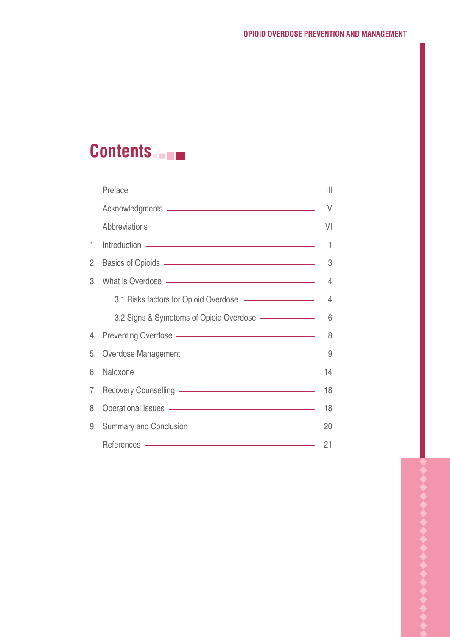# **Contents**

|    |                                                                                                                                                                                                                                      | $\mathbb{H}$   |
|----|--------------------------------------------------------------------------------------------------------------------------------------------------------------------------------------------------------------------------------------|----------------|
|    |                                                                                                                                                                                                                                      | V              |
|    | Abbreviations - https://www.assett.com/abbreviations                                                                                                                                                                                 | Μ              |
| 1. |                                                                                                                                                                                                                                      |                |
| 2. | Basics of Opioids (and a set of Opioids and a set of Opioids and a set of Opioids and a set of opioids and a set of opioids and a set of opioids and a set of opioids and a set of opioids and a set of opioids and a set of o       |                |
| 3. | What is Overdose <u>- Sandan and the Contract of Australian and the Contract of Australian and the Contract of Australian and Tennis</u>                                                                                             | $\overline{4}$ |
|    | 3.1 Risks factors for Opioid Overdose ————————————————————                                                                                                                                                                           |                |
|    | 3.2 Signs & Symptoms of Opioid Overdose - 6                                                                                                                                                                                          |                |
|    | 4. Preventing Overdose - The Contract of the Contract of the Contract of the Contract of the Contract of the Contract of the Contract of the Contract of the Contract of the Contract of the Contract of the Contract of the C       |                |
|    | 5. Overdose Management - 3                                                                                                                                                                                                           |                |
| 6. | Naloxone - 14                                                                                                                                                                                                                        |                |
|    | 7. Recovery Counselling - The Context of the Counselling of the Counselling of the Counsel of the Counsel of the Counsel of the Counsel of the Counsel of the Counsel of the Counsel of the Counsel of the Counsel of the Coun       | 18             |
| 8. | Operational Issues <u>- Constantine and the set of the set of the set of the set of the set of the set of the set of the set of the set of the set of the set of the set of the set of the set of the set of the set of the set </u> |                |
| 9. | Summary and Conclusion ————————————————————                                                                                                                                                                                          | 20             |
|    | References - The Commission of the Commission of the Commission of the Commission of the Commission of the Commission of the Commission of the Commission of the Commission of the Commission of the Commission of the Commiss       | 21             |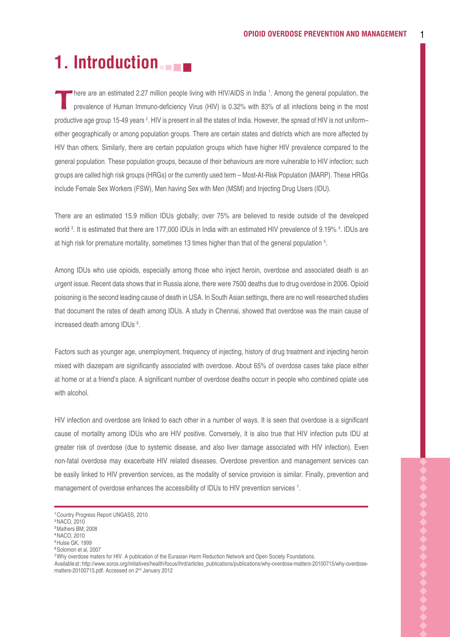# **1. Introduction**

There are an estimated 2.27 million people living with HIV/AIDS in India <sup>1</sup>. Among the general population, the prevalence of Human Immuno-deficiency Virus (HIV) is 0.32% with 83% of all infections being in the most here are an estimated 2.27 million people living with HIV/AIDS in India 1. Among the general population, the productive age group 15-49 years <sup>2</sup>. HIV is present in all the states of India. However, the spread of HIV is not uniform– either geographically or among population groups. There are certain states and districts which are more affected by HIV than others. Similarly, there are certain population groups which have higher HIV prevalence compared to the general population. These population groups, because of their behaviours are more vulnerable to HIV infection; such groups are called high risk groups (HRGs) or the currently used term – Most-At-Risk Population (MARP). These HRGs include Female Sex Workers (FSW), Men having Sex with Men (MSM) and Injecting Drug Users (IDU).

There are an estimated 15.9 million IDUs globally; over 75% are believed to reside outside of the developed world <sup>3</sup>. It is estimated that there are 177,000 IDUs in India with an estimated HIV prevalence of 9.19% <sup>4</sup>. IDUs are at high risk for premature mortality, sometimes 13 times higher than that of the general population 5 .

Among IDUs who use opioids, especially among those who inject heroin, overdose and associated death is an urgent issue. Recent data shows that in Russia alone, there were 7500 deaths due to drug overdose in 2006. Opioid poisoning is the second leading cause of death in USA. In South Asian settings, there are no well researched studies that document the rates of death among IDUs. A study in Chennai, showed that overdose was the main cause of increased death among IDUs <sup>6</sup>.

Factors such as younger age, unemployment, frequency of injecting, history of drug treatment and injecting heroin mixed with diazepam are significantly associated with overdose. About 65% of overdose cases take place either at home or at a friend's place. A significant number of overdose deaths occurr in people who combined opiate use with alcohol.

HIV infection and overdose are linked to each other in a number of ways. It is seen that overdose is a significant cause of mortality among IDUs who are HIV positive. Conversely, it is also true that HIV infection puts IDU at greater risk of overdose (due to systemic disease, and also liver damage associated with HIV infection). Even non-fatal overdose may exacerbate HIV related diseases. Overdose prevention and management services can be easily linked to HIV prevention services, as the modality of service provision is similar. Finally, prevention and management of overdose enhances the accessibility of IDUs to HIV prevention services 7.

**<sup>1</sup>**Country Progress Report UNGASS, 2010

**<sup>2</sup>**NACO, 2010

**<sup>3</sup>**Mathers BM; 2008

**<sup>4</sup>**NACO, 2010

**<sup>5</sup>**Hulse GK, 1999

**<sup>6</sup>**Solomon et al, 2007

**<sup>7</sup>**Why overdose maters for HIV. A publication of the Eurasian Harm Reduction Network and Open Society Foundations.

Available at : http://www.soros.org/initiatives/health/focus/ihrd/articles\_publications/publications/why-overdose-matters-20100715/why-overdosematters-20100715.pdf. Accessed on 2<sup>nd</sup> January 2012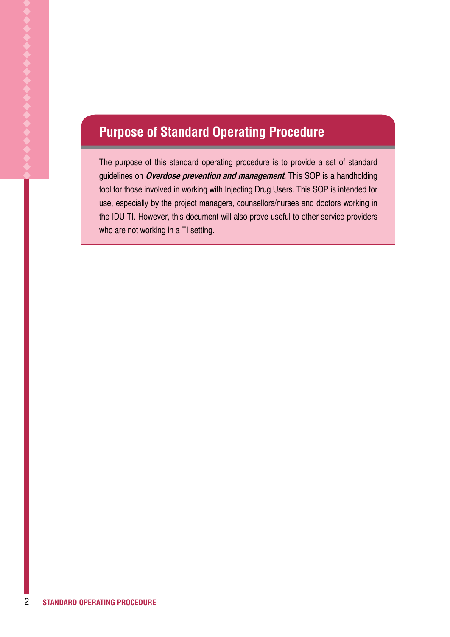# **Purpose of Standard Operating Procedure**

The purpose of this standard operating procedure is to provide a set of standard guidelines on **Overdose prevention and management.** This SOP is a handholding tool for those involved in working with Injecting Drug Users. This SOP is intended for use, especially by the project managers, counsellors/nurses and doctors working in the IDU TI. However, this document will also prove useful to other service providers who are not working in a TI setting.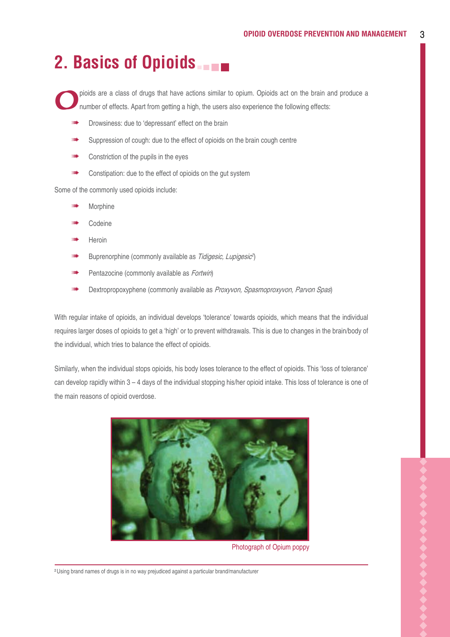# **2. Basics of Opioids**

pioids are a class of drugs that have actions similar to opium. Opioids act on the brain and produce a number of effects. Apart from getting a high, the users also experience the following effects:

- Drowsiness: due to 'depressant' effect on the brain
- Suppression of cough: due to the effect of opioids on the brain cough centre
- Constriction of the pupils in the eyes
- Constipation: due to the effect of opioids on the gut system

Some of the commonly used opioids include:

- Morphine
- Codeine
- **Heroin**
- Buprenorphine (commonly available as Tidigesic, Lupigesic<sup>2</sup>)
- Pentazocine (commonly available as *Fortwin*)
- Dextropropoxyphene (commonly available as Proxyvon, Spasmoproxyvon, Parvon Spas)

With regular intake of opioids, an individual develops 'tolerance' towards opioids, which means that the individual requires larger doses of opioids to get a 'high' or to prevent withdrawals. This is due to changes in the brain/body of the individual, which tries to balance the effect of opioids.

Similarly, when the individual stops opioids, his body loses tolerance to the effect of opioids. This 'loss of tolerance' can develop rapidly within 3 – 4 days of the individual stopping his/her opioid intake. This loss of tolerance is one of the main reasons of opioid overdose.



Photograph of Opium poppy

**<sup>2</sup>**Using brand names of drugs is in no way prejudiced against a particular brand/manufacturer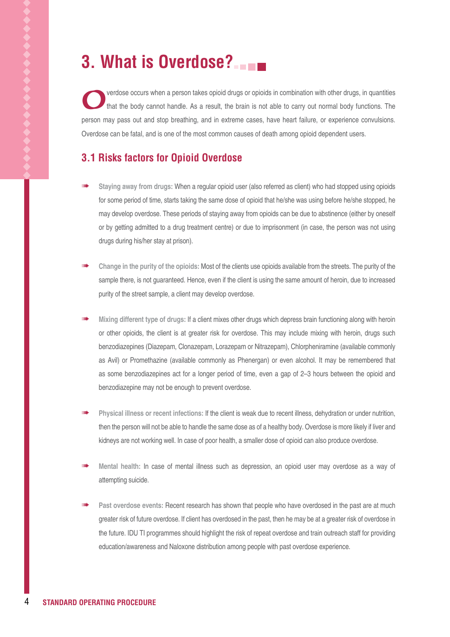# **3. What is Overdose?**

**Overdose occurs when a person takes opioid drugs or opioids in combination with other drugs, in quantities that the body cannot handle. As a result, the brain is not able to carry out normal body functions. The** person may pass out and stop breathing, and in extreme cases, have heart failure, or experience convulsions. Overdose can be fatal, and is one of the most common causes of death among opioid dependent users.

### **3.1 Risks factors for Opioid Overdose**

- **Staying away from drugs:** When a regular opioid user (also referred as client) who had stopped using opioids for some period of time, starts taking the same dose of opioid that he/she was using before he/she stopped, he may develop overdose. These periods of staying away from opioids can be due to abstinence (either by oneself or by getting admitted to a drug treatment centre) or due to imprisonment (in case, the person was not using drugs during his/her stay at prison).
- **Change in the purity of the opioids:** Most of the clients use opioids available from the streets. The purity of the sample there, is not guaranteed. Hence, even if the client is using the same amount of heroin, due to increased purity of the street sample, a client may develop overdose.
- **Mixing different type of drugs:** If a client mixes other drugs which depress brain functioning along with heroin or other opioids, the client is at greater risk for overdose. This may include mixing with heroin, drugs such benzodiazepines (Diazepam, Clonazepam, Lorazepam or Nitrazepam), Chlorpheniramine (available commonly as Avil) or Promethazine (available commonly as Phenergan) or even alcohol. It may be remembered that as some benzodiazepines act for a longer period of time, even a gap of 2–3 hours between the opioid and benzodiazepine may not be enough to prevent overdose.
- **Physical illness or recent infections:** If the client is weak due to recent illness, dehydration or under nutrition, then the person will not be able to handle the same dose as of a healthy body. Overdose is more likely if liver and kidneys are not working well. In case of poor health, a smaller dose of opioid can also produce overdose.
- **Mental health:** In case of mental illness such as depression, an opioid user may overdose as a way of attempting suicide.
- **Past overdose events:** Recent research has shown that people who have overdosed in the past are at much greater risk of future overdose. If client has overdosed in the past, then he may be at a greater risk of overdose in the future. IDU TI programmes should highlight the risk of repeat overdose and train outreach staff for providing education/awareness and Naloxone distribution among people with past overdose experience.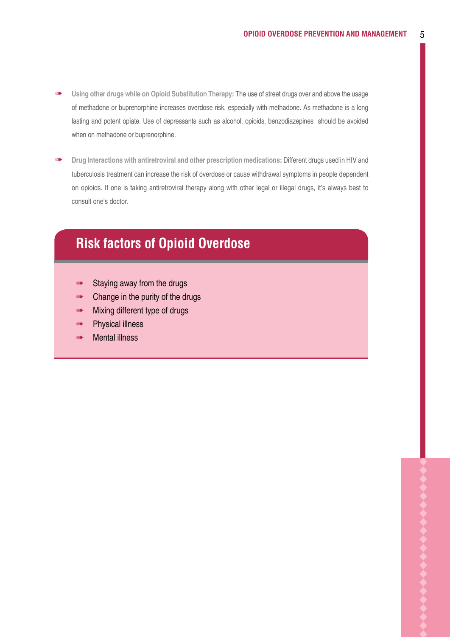- **Using other drugs while on Opioid Substitution Therapy:** The use of street drugs over and above the usage of methadone or buprenorphine increases overdose risk, especially with methadone. As methadone is a long lasting and potent opiate. Use of depressants such as alcohol, opioids, benzodiazepines should be avoided when on methadone or buprenorphine.
- **Drug Interactions with antiretroviral and other prescription medications:** Different drugs used in HIV and tuberculosis treatment can increase the risk of overdose or cause withdrawal symptoms in people dependent on opioids. If one is taking antiretroviral therapy along with other legal or illegal drugs, it's always best to consult one's doctor.

## **Risk factors of Opioid Overdose**

- Staying away from the drugs
- Change in the purity of the drugs
- **Mixing different type of drugs**
- **INCHERENT Physical illness**
- Mental illness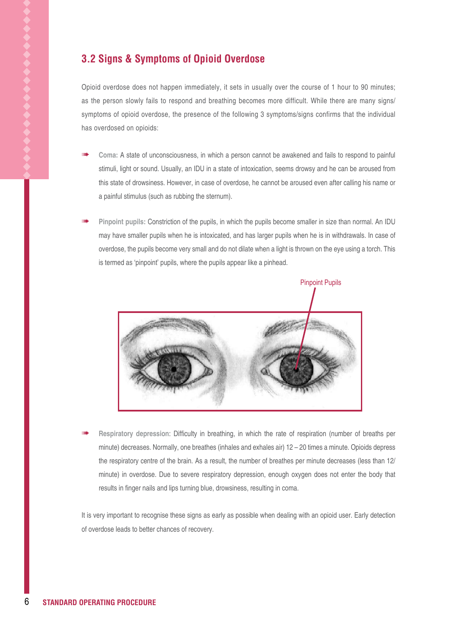### **3.2 Signs & Symptoms of Opioid Overdose**

Opioid overdose does not happen immediately, it sets in usually over the course of 1 hour to 90 minutes; as the person slowly fails to respond and breathing becomes more difficult. While there are many signs/ symptoms of opioid overdose, the presence of the following 3 symptoms/signs confirms that the individual has overdosed on opioids:

- **Coma:** A state of unconsciousness, in which a person cannot be awakened and fails to respond to painful stimuli, light or sound. Usually, an IDU in a state of intoxication, seems drowsy and he can be aroused from this state of drowsiness. However, in case of overdose, he cannot be aroused even after calling his name or a painful stimulus (such as rubbing the sternum).
- **Pinpoint pupils:** Constriction of the pupils, in which the pupils become smaller in size than normal. An IDU may have smaller pupils when he is intoxicated, and has larger pupils when he is in withdrawals. In case of overdose, the pupils become very small and do not dilate when a light is thrown on the eye using a torch. This is termed as 'pinpoint' pupils, where the pupils appear like a pinhead.



 **Respiratory depression**: Difficulty in breathing, in which the rate of respiration (number of breaths per minute) decreases. Normally, one breathes (inhales and exhales air) 12 – 20 times a minute. Opioids depress the respiratory centre of the brain. As a result, the number of breathes per minute decreases (less than 12/ minute) in overdose. Due to severe respiratory depression, enough oxygen does not enter the body that results in finger nails and lips turning blue, drowsiness, resulting in coma.

It is very important to recognise these signs as early as possible when dealing with an opioid user. Early detection of overdose leads to better chances of recovery.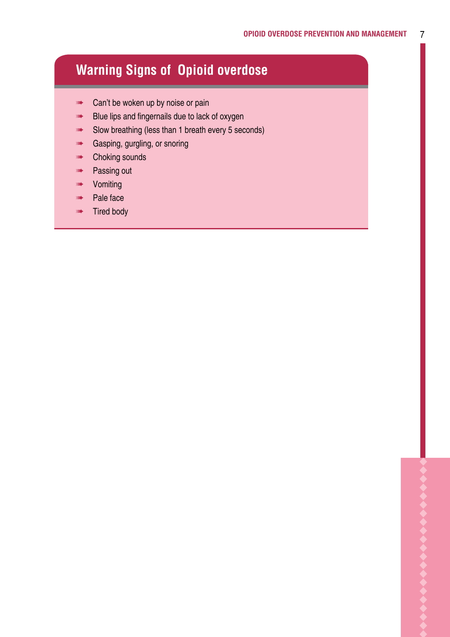# **Warning Signs of Opioid overdose**

- **EXECUTE:** Can't be woken up by noise or pain
- **Blue lips and fingernails due to lack of oxygen**
- Slow breathing (less than 1 breath every 5 seconds)
- **MANA** Gasping, gurgling, or snoring
- **Example 2** Choking sounds
- **Passing out**
- **WINN-** Vomiting
- **Pale face**
- **Tired body**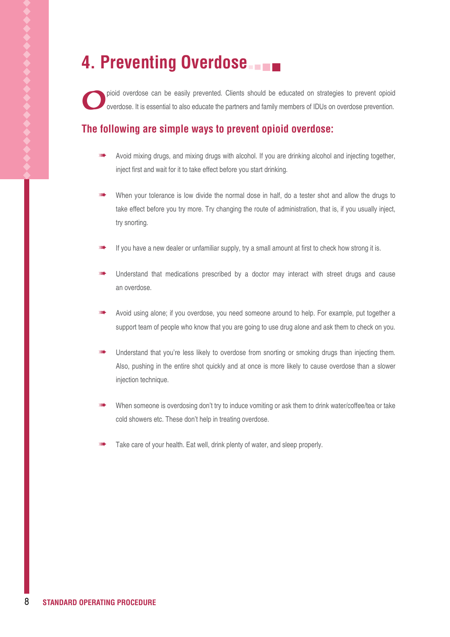# **4. Preventing Overdose**

pioid overdose can be easily prevented. Clients should be educated on strategies to prevent opioid overdose. It is essential to also educate the partners and family members of IDUs on overdose prevention.

### **The following are simple ways to prevent opioid overdose:**

- Avoid mixing drugs, and mixing drugs with alcohol. If you are drinking alcohol and injecting together, inject first and wait for it to take effect before you start drinking.
- When your tolerance is low divide the normal dose in half, do a tester shot and allow the drugs to take effect before you try more. Try changing the route of administration, that is, if you usually inject, try snorting.
- If you have a new dealer or unfamiliar supply, try a small amount at first to check how strong it is.
- Understand that medications prescribed by a doctor may interact with street drugs and cause an overdose.
- Avoid using alone; if you overdose, you need someone around to help. For example, put together a support team of people who know that you are going to use drug alone and ask them to check on you.
- Understand that you're less likely to overdose from snorting or smoking drugs than injecting them. Also, pushing in the entire shot quickly and at once is more likely to cause overdose than a slower injection technique.
- When someone is overdosing don't try to induce vomiting or ask them to drink water/coffee/tea or take cold showers etc. These don't help in treating overdose.
- Take care of your health. Eat well, drink plenty of water, and sleep properly.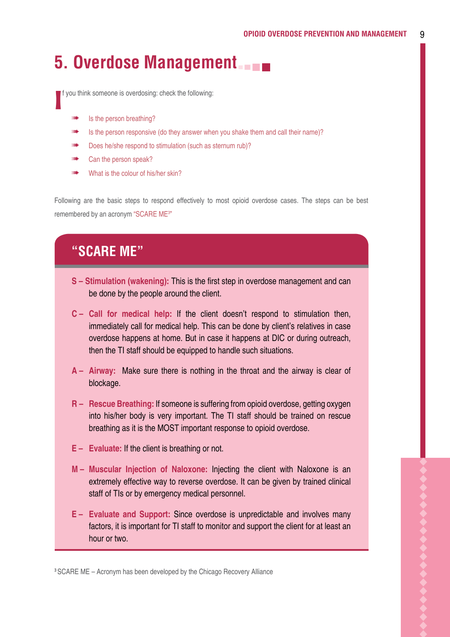# **5. Overdose Management**

I f you think someone is overdosing: check the following:

- Is the person breathing?
- Is the person responsive (do they answer when you shake them and call their name)?
- Does he/she respond to stimulation (such as sternum rub)?
- Can the person speak?
- What is the colour of his/her skin?

Following are the basic steps to respond effectively to most opioid overdose cases. The steps can be best remembered by an acronym "SCARE ME<sup>3"</sup>

## **"SCARE ME"**

- **S Stimulation (wakening):** This is the first step in overdose management and can be done by the people around the client.
- **C Call for medical help:** If the client doesn't respond to stimulation then, immediately call for medical help. This can be done by client's relatives in case overdose happens at home. But in case it happens at DIC or during outreach, then the TI staff should be equipped to handle such situations.
- **A Airway:** Make sure there is nothing in the throat and the airway is clear of blockage.
- **R – Rescue Breathing:** If someone is suffering from opioid overdose, getting oxygen into his/her body is very important. The TI staff should be trained on rescue breathing as it is the MOST important response to opioid overdose.
- **E Evaluate:** If the client is breathing or not.
- **M Muscular Injection of Naloxone:** Injecting the client with Naloxone is an extremely effective way to reverse overdose. It can be given by trained clinical staff of TIs or by emergency medical personnel.
- **E Evaluate and Support:** Since overdose is unpredictable and involves many factors, it is important for TI staff to monitor and support the client for at least an hour or two.

**<sup>3</sup>**SCARE ME – Acronym has been developed by the Chicago Recovery Alliance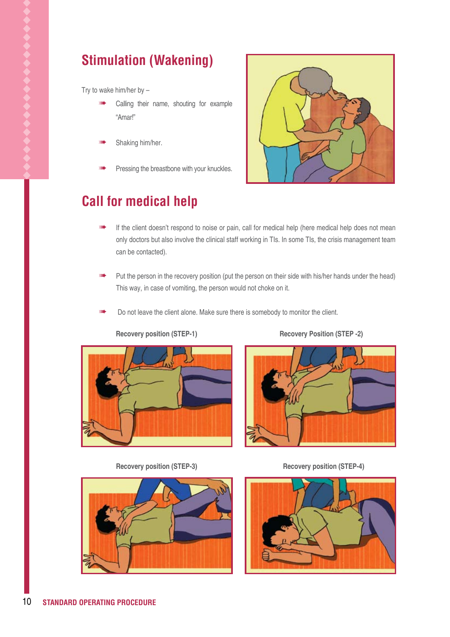# **Stimulation (Wakening)**

Try to wake him/her by  $-$ 

- Calling their name, shouting for example "Amar!"
- Shaking him/her.
- Pressing the breastbone with your knuckles.



# **Call for medical help**

- If the client doesn't respond to noise or pain, call for medical help (here medical help does not mean only doctors but also involve the clinical staff working in TIs. In some TIs, the crisis management team can be contacted).
- Put the person in the recovery position (put the person on their side with his/her hands under the head) This way, in case of vomiting, the person would not choke on it.
- Do not leave the client alone. Make sure there is somebody to monitor the client.



**Recovery position (STEP-1) Recovery Position (STEP -2)** 



Recovery position (STEP-3) Recovery position (STEP-4)



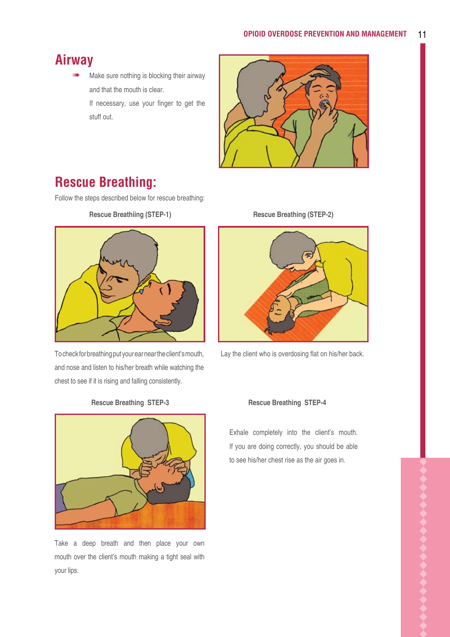### **Airway**

 Make sure nothing is blocking their airway and that the mouth is clear.

> If necessary, use your finger to get the stuff out.



# **Rescue Breathing:**

Follow the steps described below for rescue breathing:

**Rescue Breathiing (STEP-1)**



To check for breathing put your ear near the client's mouth, and nose and listen to his/her breath while watching the chest to see if it is rising and falling consistently.



Take a deep breath and then place your own mouth over the client's mouth making a tight seal with your lips.

**Rescue Breathing (STEP-2)**



Lay the client who is overdosing flat on his/her back.

#### **Rescue Breathing STEP-3 Rescue Breathing STEP-4**

Exhale completely into the client's mouth. If you are doing correctly, you should be able to see his/her chest rise as the air goes in.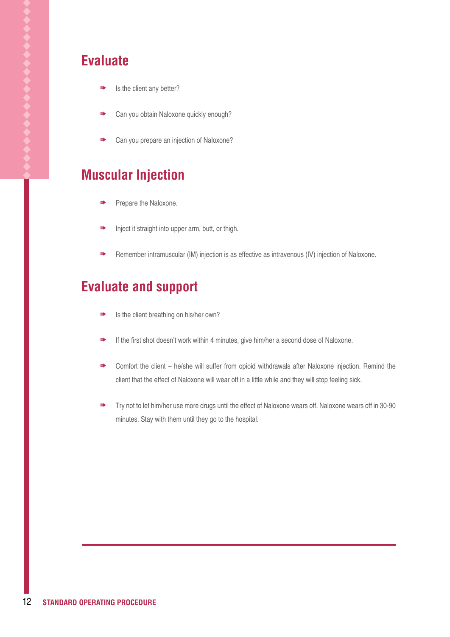### **Evaluate**

- Is the client any better?
- Can you obtain Naloxone quickly enough?
- Can you prepare an injection of Naloxone?

# **Muscular Injection**

- Prepare the Naloxone.
- Inject it straight into upper arm, butt, or thigh.
- Remember intramuscular (IM) injection is as effective as intravenous (IV) injection of Naloxone.

### **Evaluate and support**

- **INDER** Is the client breathing on his/her own?
- If the first shot doesn't work within 4 minutes, give him/her a second dose of Naloxone.
- **Note Comfort the client he/she will suffer from opioid withdrawals after Naloxone injection. Remind the** client that the effect of Naloxone will wear off in a little while and they will stop feeling sick.
- Try not to let him/her use more drugs until the effect of Naloxone wears off. Naloxone wears off in 30-90 minutes. Stay with them until they go to the hospital.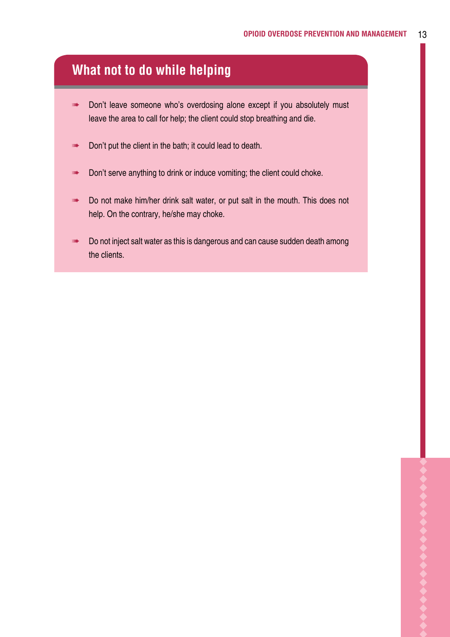### **What not to do while helping**

- Don't leave someone who's overdosing alone except if you absolutely must leave the area to call for help; the client could stop breathing and die.
- **Don't put the client in the bath; it could lead to death.**
- Don't serve anything to drink or induce vomiting; the client could choke.
- **Do not make him/her drink salt water, or put salt in the mouth. This does not** help. On the contrary, he/she may choke.
- Do not inject salt water as this is dangerous and can cause sudden death among the clients.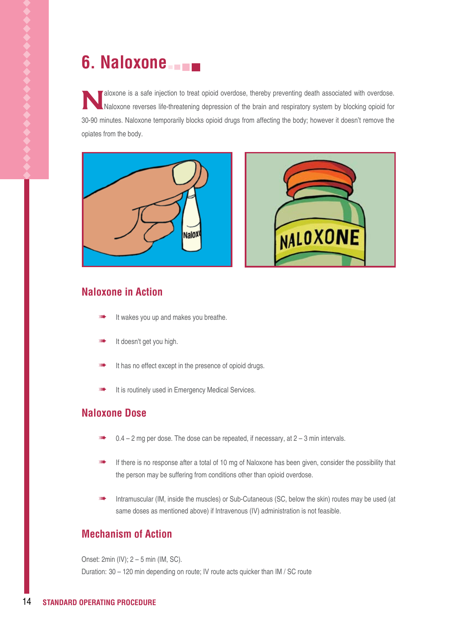# **6. Naloxone**

Naloxone is a safe injection to treat opioid overdose, thereby preventing death associated with overdose.<br>Naloxone reverses life-threatening depression of the brain and respiratory system by blocking opioid for 30-90 minutes. Naloxone temporarily blocks opioid drugs from affecting the body; however it doesn't remove the opiates from the body.





### **Naloxone in Action**

- It wakes you up and makes you breathe.
- It doesn't get you high.
- It has no effect except in the presence of opioid drugs.
- It is routinely used in Emergency Medical Services.

#### **Naloxone Dose**

- $0.4 2$  mg per dose. The dose can be repeated, if necessary, at  $2 3$  min intervals.
- If there is no response after a total of 10 mg of Naloxone has been given, consider the possibility that the person may be suffering from conditions other than opioid overdose.
- Intramuscular (IM, inside the muscles) or Sub-Cutaneous (SC, below the skin) routes may be used (at same doses as mentioned above) if Intravenous (IV) administration is not feasible.

#### **Mechanism of Action**

Onset: 2min (IV); 2 – 5 min (IM, SC). Duration: 30 – 120 min depending on route; IV route acts quicker than IM / SC route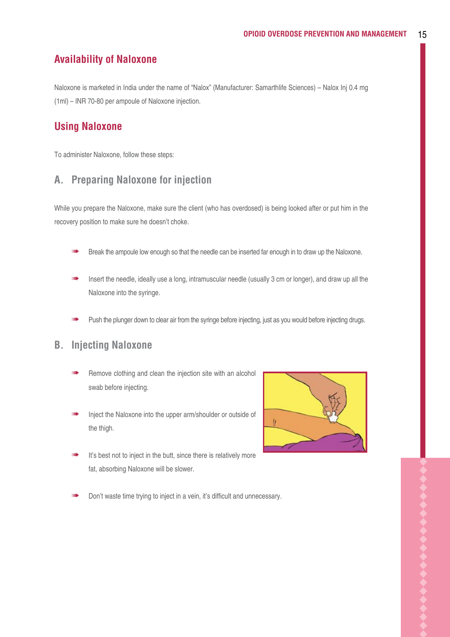#### **Availability of Naloxone**

Naloxone is marketed in India under the name of "Nalox" (Manufacturer: Samarthlife Sciences) – Nalox Inj 0.4 mg (1ml) – INR 70-80 per ampoule of Naloxone injection.

#### **Using Naloxone**

To administer Naloxone, follow these steps:

### **A. Preparing Naloxone for injection**

While you prepare the Naloxone, make sure the client (who has overdosed) is being looked after or put him in the recovery position to make sure he doesn't choke.

- Break the ampoule low enough so that the needle can be inserted far enough in to draw up the Naloxone.
- Insert the needle, ideally use a long, intramuscular needle (usually 3 cm or longer), and draw up all the Naloxone into the syringe.
- Push the plunger down to clear air from the syringe before injecting, just as you would before injecting drugs.

#### **B. Injecting Naloxone**

- Remove clothing and clean the injection site with an alcohol swab before injecting.
- Inject the Naloxone into the upper arm/shoulder or outside of the thigh.
- It's best not to inject in the butt, since there is relatively more fat, absorbing Naloxone will be slower.



Don't waste time trying to inject in a vein, it's difficult and unnecessary.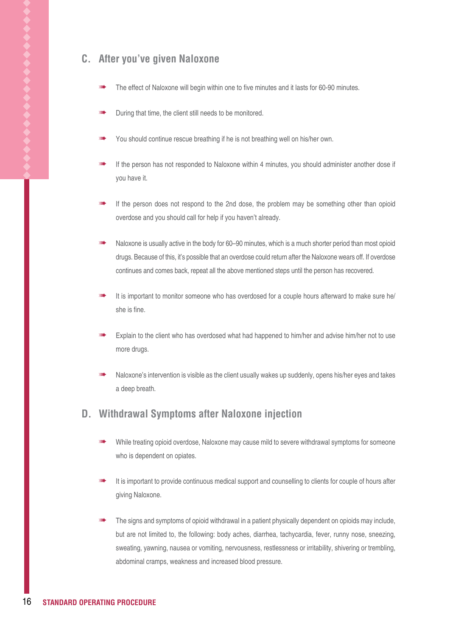### **C. After you've given Naloxone**

- The effect of Naloxone will begin within one to five minutes and it lasts for 60-90 minutes.
- During that time, the client still needs to be monitored.
- You should continue rescue breathing if he is not breathing well on his/her own.
- If the person has not responded to Naloxone within 4 minutes, you should administer another dose if you have it.
- If the person does not respond to the 2nd dose, the problem may be something other than opioid overdose and you should call for help if you haven't already.
- Naloxone is usually active in the body for 60–90 minutes, which is a much shorter period than most opioid drugs. Because of this, it's possible that an overdose could return after the Naloxone wears off. If overdose continues and comes back, repeat all the above mentioned steps until the person has recovered.
- It is important to monitor someone who has overdosed for a couple hours afterward to make sure he/ she is fine.
- Explain to the client who has overdosed what had happened to him/her and advise him/her not to use more drugs.
- Naloxone's intervention is visible as the client usually wakes up suddenly, opens his/her eyes and takes a deep breath.

#### **D. Withdrawal Symptoms after Naloxone injection**

- While treating opioid overdose, Naloxone may cause mild to severe withdrawal symptoms for someone who is dependent on opiates.
- It is important to provide continuous medical support and counselling to clients for couple of hours after giving Naloxone.
- The signs and symptoms of opioid withdrawal in a patient physically dependent on opioids may include, but are not limited to, the following: body aches, diarrhea, tachycardia, fever, runny nose, sneezing, sweating, yawning, nausea or vomiting, nervousness, restlessness or irritability, shivering or trembling, abdominal cramps, weakness and increased blood pressure.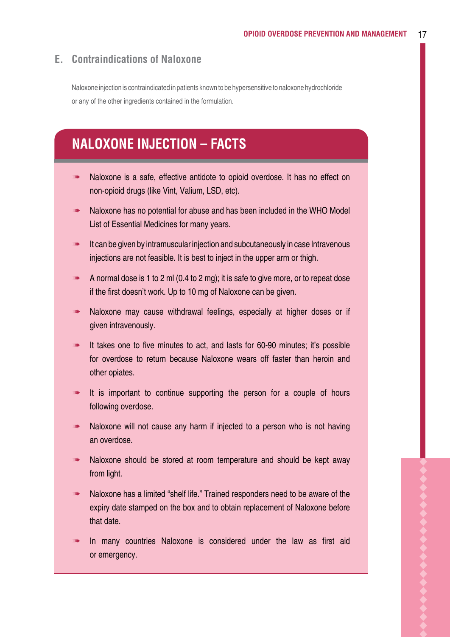### **E. Contraindications of Naloxone**

Naloxone injection is contraindicated in patients known to be hypersensitive to naloxone hydrochloride or any of the other ingredients contained in the formulation.

# **NALOXONE INJECTION – FACTS**

- **Naloxone is a safe, effective antidote to opioid overdose. It has no effect on** non-opioid drugs (like Vint, Valium, LSD, etc).
- Naloxone has no potential for abuse and has been included in the WHO Model List of Essential Medicines for many years.
- It can be given by intramuscular injection and subcutaneously in case Intravenous injections are not feasible. It is best to inject in the upper arm or thigh.
- A normal dose is 1 to 2 ml (0.4 to 2 mg); it is safe to give more, or to repeat dose if the first doesn't work. Up to 10 mg of Naloxone can be given.
- Naloxone may cause withdrawal feelings, especially at higher doses or if given intravenously.
- It takes one to five minutes to act, and lasts for 60-90 minutes; it's possible for overdose to return because Naloxone wears off faster than heroin and other opiates.
- It is important to continue supporting the person for a couple of hours following overdose.
- Naloxone will not cause any harm if injected to a person who is not having an overdose.
- Naloxone should be stored at room temperature and should be kept away from light.
- Naloxone has a limited "shelf life." Trained responders need to be aware of the expiry date stamped on the box and to obtain replacement of Naloxone before that date.
- In many countries Naloxone is considered under the law as first aid or emergency.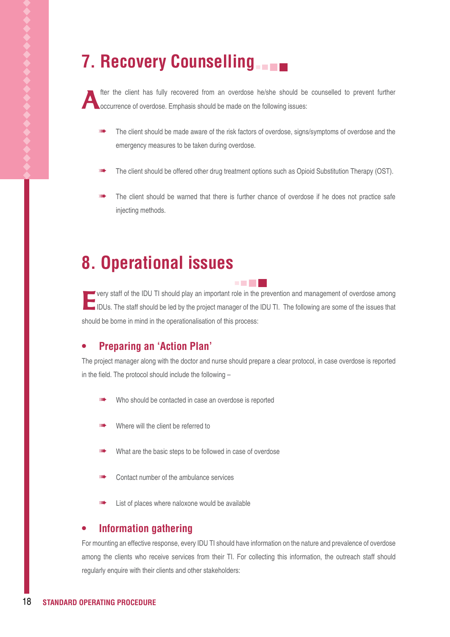# **7. Recovery Counselling**

fter the client has fully recovered from an overdose he/she should be counselled to prevent further occurrence of overdose. Emphasis should be made on the following issues:

- The client should be made aware of the risk factors of overdose, signs/symptoms of overdose and the emergency measures to be taken during overdose.
- The client should be offered other drug treatment options such as Opioid Substitution Therapy (OST).
- The client should be warned that there is further chance of overdose if he does not practice safe injecting methods.

# **8. Operational issues**

**Every staff of the IDU TI should play an important role in the prevention and management of overdose among** IDUs. The staff should be led by the project manager of the IDU TI. The following are some of the issues that should be borne in mind in the operationalisation of this process:

90 H

#### **• Preparing an 'Action Plan'**

The project manager along with the doctor and nurse should prepare a clear protocol, in case overdose is reported in the field. The protocol should include the following –

- Who should be contacted in case an overdose is reported
- Where will the client be referred to
- What are the basic steps to be followed in case of overdose
- Contact number of the ambulance services
- List of places where naloxone would be available

#### **• Information gathering**

For mounting an effective response, every IDU TI should have information on the nature and prevalence of overdose among the clients who receive services from their TI. For collecting this information, the outreach staff should regularly enquire with their clients and other stakeholders: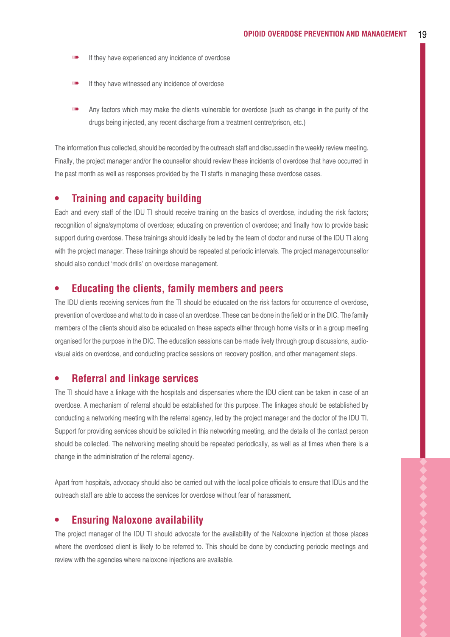- If they have experienced any incidence of overdose
- If they have witnessed any incidence of overdose
- Any factors which may make the clients vulnerable for overdose (such as change in the purity of the drugs being injected, any recent discharge from a treatment centre/prison, etc.)

The information thus collected, should be recorded by the outreach staff and discussed in the weekly review meeting. Finally, the project manager and/or the counsellor should review these incidents of overdose that have occurred in the past month as well as responses provided by the TI staffs in managing these overdose cases.

#### **• Training and capacity building**

Each and every staff of the IDU TI should receive training on the basics of overdose, including the risk factors; recognition of signs/symptoms of overdose; educating on prevention of overdose; and finally how to provide basic support during overdose. These trainings should ideally be led by the team of doctor and nurse of the IDU TI along with the project manager. These trainings should be repeated at periodic intervals. The project manager/counsellor should also conduct 'mock drills' on overdose management.

#### **• Educating the clients, family members and peers**

The IDU clients receiving services from the TI should be educated on the risk factors for occurrence of overdose, prevention of overdose and what to do in case of an overdose. These can be done in the field or in the DIC. The family members of the clients should also be educated on these aspects either through home visits or in a group meeting organised for the purpose in the DIC. The education sessions can be made lively through group discussions, audiovisual aids on overdose, and conducting practice sessions on recovery position, and other management steps.

#### **• Referral and linkage services**

The TI should have a linkage with the hospitals and dispensaries where the IDU client can be taken in case of an overdose. A mechanism of referral should be established for this purpose. The linkages should be established by conducting a networking meeting with the referral agency, led by the project manager and the doctor of the IDU TI. Support for providing services should be solicited in this networking meeting, and the details of the contact person should be collected. The networking meeting should be repeated periodically, as well as at times when there is a change in the administration of the referral agency.

Apart from hospitals, advocacy should also be carried out with the local police officials to ensure that IDUs and the outreach staff are able to access the services for overdose without fear of harassment.

#### **• Ensuring Naloxone availability**

The project manager of the IDU TI should advocate for the availability of the Naloxone injection at those places where the overdosed client is likely to be referred to. This should be done by conducting periodic meetings and review with the agencies where naloxone injections are available.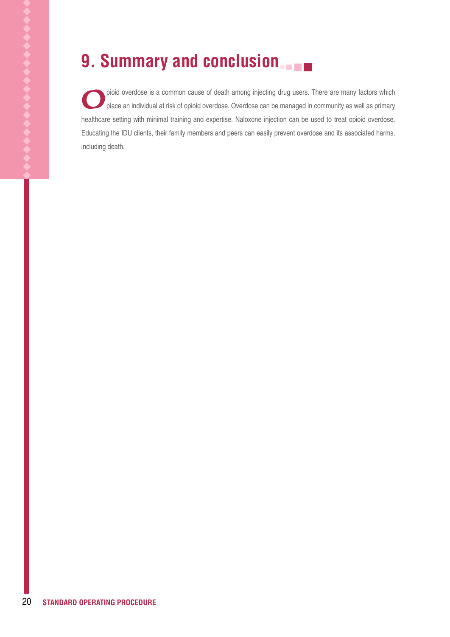# **9. Summary and conclusion**

pioid overdose is a common cause of death among injecting drug users. There are many factors which place an individual at risk of opioid overdose. Overdose can be managed in community as well as primary healthcare setting with minimal training and expertise. Naloxone injection can be used to treat opioid overdose. Educating the IDU clients, their family members and peers can easily prevent overdose and its associated harms, including death.